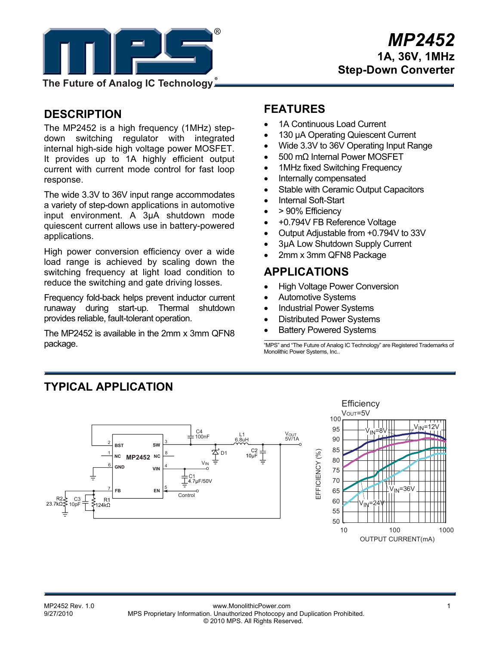

**The Future of Analog IC Technology**

## **DESCRIPTION**

The MP2452 is a high frequency (1MHz) stepdown switching regulator with integrated internal high-side high voltage power MOSFET. It provides up to 1A highly efficient output current with current mode control for fast loop response.

The wide 3.3V to 36V input range accommodates a variety of step-down applications in automotive input environment. A 3µA shutdown mode quiescent current allows use in battery-powered applications.

High power conversion efficiency over a wide load range is achieved by scaling down the switching frequency at light load condition to reduce the switching and gate driving losses.

Frequency fold-back helps prevent inductor current runaway during start-up. Thermal shutdown provides reliable, fault-tolerant operation.

The MP2452 is available in the 2mm x 3mm QFN8 package.

## **FEATURES**

- 1A Continuous Load Current
- 130 µA Operating Quiescent Current
- Wide 3.3V to 36V Operating Input Range
- 500 mΩ Internal Power MOSFET
- 1MHz fixed Switching Frequency
- Internally compensated
- Stable with Ceramic Output Capacitors
- Internal Soft-Start
- > 90% Efficiency
- +0.794V FB Reference Voltage
- Output Adjustable from +0.794V to 33V
- 3µA Low Shutdown Supply Current
- 2mm x 3mm QFN8 Package

## **APPLICATIONS**

- High Voltage Power Conversion
- Automotive Systems
- Industrial Power Systems
- Distributed Power Systems
- **Battery Powered Systems**

"MPS" and "The Future of Analog IC Technology" are Registered Trademarks of Monolithic Power Systems, Inc..

## **TYPICAL APPLICATION**



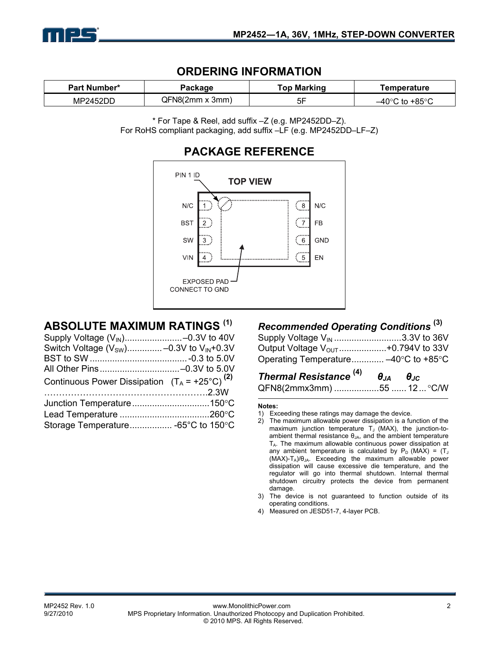

### **ORDERING INFORMATION**

| Part Number*<br>Package |                        | <b>Top Marking</b> | Temperature                         |  |
|-------------------------|------------------------|--------------------|-------------------------------------|--|
| MP2452DD                | $QFN8(2mm \times 3mm)$ | эr                 | $-40^{\circ}$ C to +85 $^{\circ}$ C |  |

\* For Tape & Reel, add suffix –Z (e.g. MP2452DD–Z). For RoHS compliant packaging, add suffix –LF (e.g. MP2452DD–LF–Z)



## **ABSOLUTE MAXIMUM RATINGS (1)**

| Switch Voltage $(V_{SW})$ –0.3V to $V_{IN}$ +0.3V         |  |
|-----------------------------------------------------------|--|
|                                                           |  |
|                                                           |  |
| Continuous Power Dissipation $(T_A = +25^{\circ}C)^{(2)}$ |  |
|                                                           |  |
|                                                           |  |
|                                                           |  |
| Storage Temperature -65°C to 150°C                        |  |

## *Recommended Operating Conditions* **(3)**

| Supply Voltage V <sub>IN</sub> 3.3V to 36V     |  |
|------------------------------------------------|--|
| Output Voltage V <sub>OUT</sub> +0.794V to 33V |  |
| Operating Temperature -40°C to +85°C           |  |

# *Thermal Resistance* **(4)** *θJA θJC*

| QFN8(2mmx3mm) 55  12  °C/W |  |  |
|----------------------------|--|--|
|----------------------------|--|--|

#### **Notes:**

- 1) Exceeding these ratings may damage the device.
- 2) The maximum allowable power dissipation is a function of the maximum junction temperature  $T_J$  (MAX), the junction-toambient thermal resistance  $\theta_{JA}$ , and the ambient temperature TA. The maximum allowable continuous power dissipation at any ambient temperature is calculated by  $P_D$  (MAX) = (T<sub>J</sub>  $(MAX)-T_A)/\theta_{JA}$ . Exceeding the maximum allowable power dissipation will cause excessive die temperature, and the regulator will go into thermal shutdown. Internal thermal shutdown circuitry protects the device from permanent damage.
- 3) The device is not guaranteed to function outside of its operating conditions.
- 4) Measured on JESD51-7, 4-layer PCB.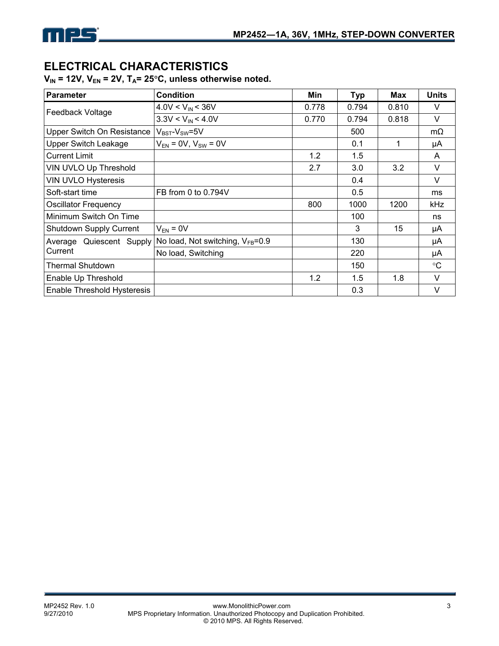

## **ELECTRICAL CHARACTERISTICS**

V<sub>IN</sub> = 12V, V<sub>EN</sub> = 2V, T<sub>A</sub>= 25°C, unless otherwise noted.

| <b>Parameter</b>               | <b>Condition</b>                       | Min   | <b>Typ</b> | Max   | <b>Units</b>    |
|--------------------------------|----------------------------------------|-------|------------|-------|-----------------|
| Feedback Voltage               | $4.0V < V_{IN} < 36V$                  | 0.778 | 0.794      | 0.810 | $\vee$          |
|                                | $3.3V < V_{IN} < 4.0V$                 | 0.770 | 0.794      | 0.818 | $\vee$          |
| Upper Switch On Resistance     | $V_{BST}$ - $V_{SW}$ =5V               |       | 500        |       | $m\Omega$       |
| <b>Upper Switch Leakage</b>    | $V_{EN}$ = 0V, $V_{SW}$ = 0V           |       | 0.1        | 1     | μA              |
| <b>Current Limit</b>           |                                        | 1.2   | 1.5        |       | A               |
| VIN UVLO Up Threshold          |                                        | 2.7   | 3.0        | 3.2   | $\vee$          |
| <b>VIN UVLO Hysteresis</b>     |                                        |       | 0.4        |       | $\vee$          |
| Soft-start time                | FB from 0 to 0.794V                    |       | 0.5        |       | ms              |
| <b>Oscillator Frequency</b>    |                                        | 800   | 1000       | 1200  | <b>kHz</b>      |
| Minimum Switch On Time         |                                        |       | 100        |       | ns              |
| <b>Shutdown Supply Current</b> | $V_{EN} = 0V$                          |       | 3          | 15    | μA              |
| Average Quiescent Supply       | No load, Not switching, $V_{FB} = 0.9$ |       | 130        |       | μA              |
| Current                        | No load, Switching                     |       | 220        |       | μA              |
| <b>Thermal Shutdown</b>        |                                        |       | 150        |       | $\rm ^{\circ}C$ |
| Enable Up Threshold            |                                        | 1.2   | 1.5        | 1.8   | $\vee$          |
| Enable Threshold Hysteresis    |                                        |       | 0.3        |       | $\vee$          |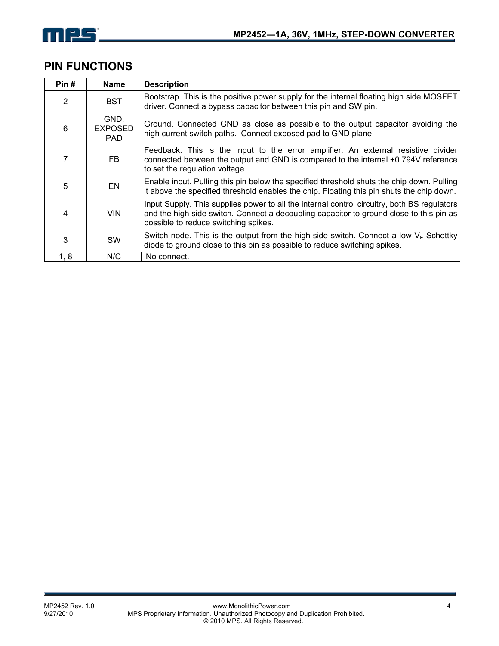

## **PIN FUNCTIONS**

| Pin#          | <b>Name</b>                    | <b>Description</b>                                                                                                                                                                                                             |
|---------------|--------------------------------|--------------------------------------------------------------------------------------------------------------------------------------------------------------------------------------------------------------------------------|
| $\mathcal{P}$ | <b>BST</b>                     | Bootstrap. This is the positive power supply for the internal floating high side MOSFET<br>driver. Connect a bypass capacitor between this pin and SW pin.                                                                     |
| 6             | GND,<br><b>EXPOSED</b><br>PAD. | Ground. Connected GND as close as possible to the output capacitor avoiding the<br>high current switch paths. Connect exposed pad to GND plane                                                                                 |
|               | FB.                            | Feedback. This is the input to the error amplifier. An external resistive divider<br>connected between the output and GND is compared to the internal +0.794V reference<br>to set the regulation voltage.                      |
| 5             | EN                             | Enable input. Pulling this pin below the specified threshold shuts the chip down. Pulling<br>it above the specified threshold enables the chip. Floating this pin shuts the chip down.                                         |
| 4             | <b>VIN</b>                     | Input Supply. This supplies power to all the internal control circuitry, both BS regulators<br>and the high side switch. Connect a decoupling capacitor to ground close to this pin as<br>possible to reduce switching spikes. |
| 3             | <b>SW</b>                      | Switch node. This is the output from the high-side switch. Connect a low $V_F$ Schottky<br>diode to ground close to this pin as possible to reduce switching spikes.                                                           |
| 1, 8          | N/C                            | No connect.                                                                                                                                                                                                                    |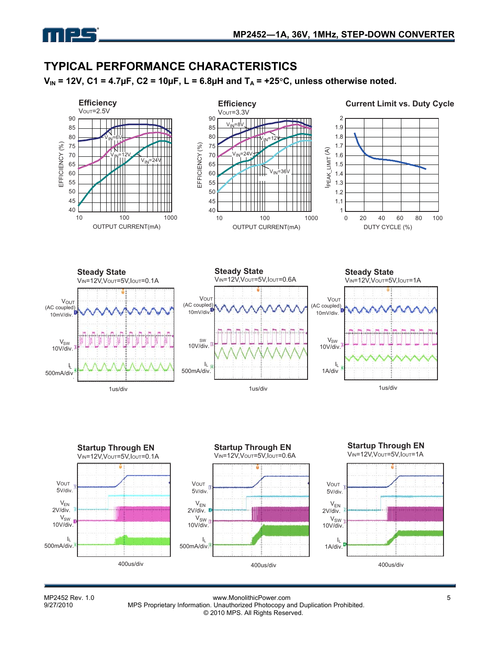

## **TYPICAL PERFORMANCE CHARACTERISTICS**

 $V_{IN}$  = 12V, C1 = 4.7µF, C2 = 10µF, L = 6.8µH and  $T_A$  = +25°C, unless otherwise noted.



MP2452 Rev. 1.0 <br>9/27/2010 MPS Proprietary Information. Unauthorized Photocopy and Duplication Prohibited. MPS Proprietary Information. Unauthorized Photocopy and Duplication Prohibited. © 2010 MPS. All Rights Reserved.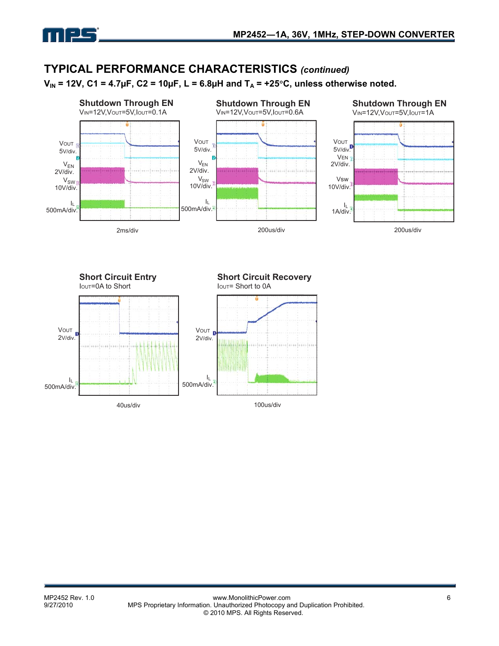

## **TYPICAL PERFORMANCE CHARACTERISTICS** *(continued)*

 $V_{IN}$  = 12V, C1 = 4.7µF, C2 = 10µF, L = 6.8µH and T<sub>A</sub> = +25°C, unless otherwise noted.



![](_page_5_Figure_5.jpeg)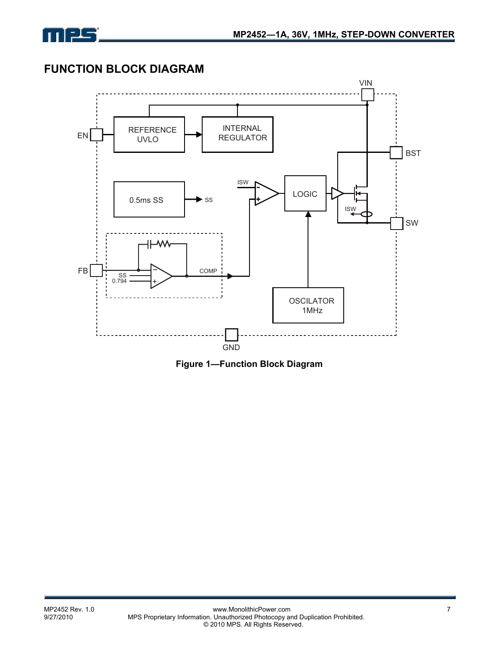![](_page_6_Picture_0.jpeg)

## **FUNCTION BLOCK DIAGRAM**

![](_page_6_Figure_3.jpeg)

**Figure 1—Function Block Diagram**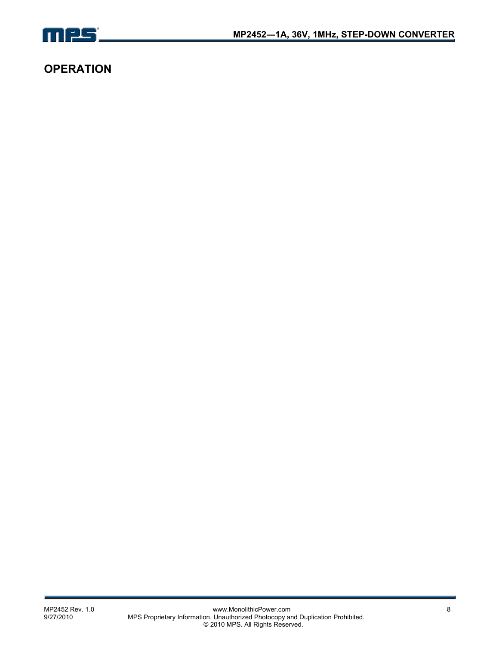![](_page_7_Picture_0.jpeg)

## **OPERATION**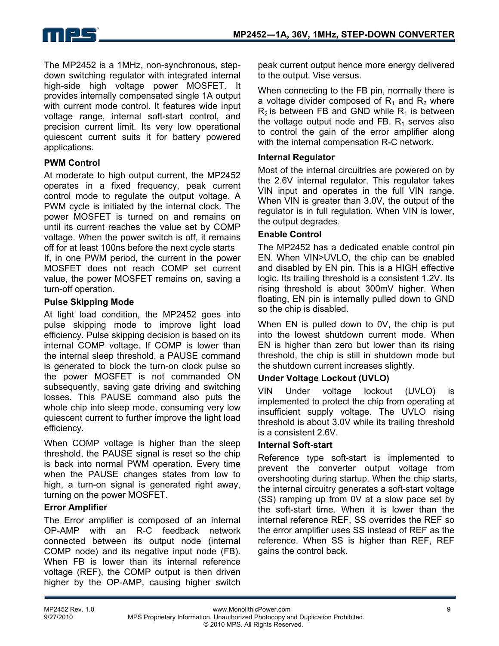![](_page_8_Picture_0.jpeg)

The MP2452 is a 1MHz, non-synchronous, stepdown switching regulator with integrated internal high-side high voltage power MOSFET. It provides internally compensated single 1A output with current mode control. It features wide input voltage range, internal soft-start control, and precision current limit. Its very low operational quiescent current suits it for battery powered applications.

### **PWM Control**

At moderate to high output current, the MP2452 operates in a fixed frequency, peak current control mode to regulate the output voltage. A PWM cycle is initiated by the internal clock. The power MOSFET is turned on and remains on until its current reaches the value set by COMP voltage. When the power switch is off, it remains off for at least 100ns before the next cycle starts

If, in one PWM period, the current in the power MOSFET does not reach COMP set current value, the power MOSFET remains on, saving a turn-off operation.

### **Pulse Skipping Mode**

At light load condition, the MP2452 goes into pulse skipping mode to improve light load efficiency. Pulse skipping decision is based on its internal COMP voltage. If COMP is lower than the internal sleep threshold, a PAUSE command is generated to block the turn-on clock pulse so the power MOSFET is not commanded ON subsequently, saving gate driving and switching losses. This PAUSE command also puts the whole chip into sleep mode, consuming very low quiescent current to further improve the light load efficiency.

When COMP voltage is higher than the sleep threshold, the PAUSE signal is reset so the chip is back into normal PWM operation. Every time when the PAUSE changes states from low to high, a turn-on signal is generated right away, turning on the power MOSFET.

#### **Error Amplifier**

The Error amplifier is composed of an internal OP-AMP with an R-C feedback network connected between its output node (internal COMP node) and its negative input node (FB). When FB is lower than its internal reference voltage (REF), the COMP output is then driven higher by the OP-AMP, causing higher switch peak current output hence more energy delivered to the output. Vise versus.

When connecting to the FB pin, normally there is a voltage divider composed of  $R_1$  and  $R_2$  where  $R_2$  is between FB and GND while  $R_1$  is between the voltage output node and FB.  $R_1$  serves also to control the gain of the error amplifier along with the internal compensation R-C network.

### **Internal Regulator**

Most of the internal circuitries are powered on by the 2.6V internal regulator. This regulator takes VIN input and operates in the full VIN range. When VIN is greater than 3.0V, the output of the regulator is in full regulation. When VIN is lower, the output degrades.

### **Enable Control**

The MP2452 has a dedicated enable control pin EN. When VIN>UVLO, the chip can be enabled and disabled by EN pin. This is a HIGH effective logic. Its trailing threshold is a consistent 1.2V. Its rising threshold is about 300mV higher. When floating, EN pin is internally pulled down to GND so the chip is disabled.

When EN is pulled down to 0V, the chip is put into the lowest shutdown current mode. When EN is higher than zero but lower than its rising threshold, the chip is still in shutdown mode but the shutdown current increases slightly.

### **Under Voltage Lockout (UVLO)**

VIN Under voltage lockout (UVLO) is implemented to protect the chip from operating at insufficient supply voltage. The UVLO rising threshold is about 3.0V while its trailing threshold is a consistent 2.6V.

#### **Internal Soft-start**

Reference type soft-start is implemented to prevent the converter output voltage from overshooting during startup. When the chip starts, the internal circuitry generates a soft-start voltage (SS) ramping up from 0V at a slow pace set by the soft-start time. When it is lower than the internal reference REF, SS overrides the REF so the error amplifier uses SS instead of REF as the reference. When SS is higher than REF, REF gains the control back.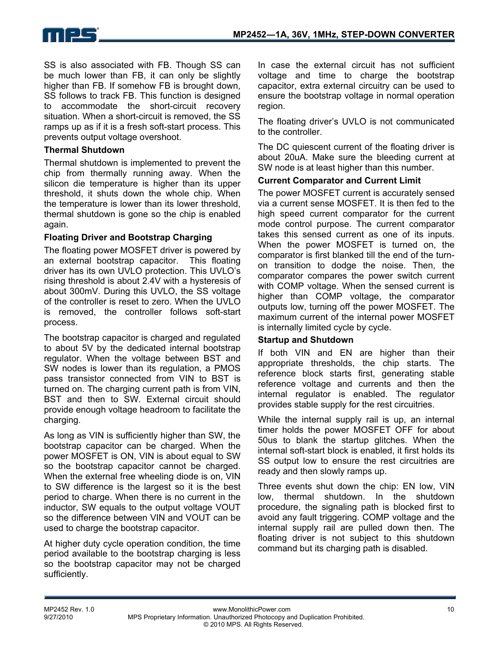SS is also associated with FB. Though SS can be much lower than FB, it can only be slightly higher than FB. If somehow FB is brought down, SS follows to track FB. This function is designed to accommodate the short-circuit recovery situation. When a short-circuit is removed, the SS ramps up as if it is a fresh soft-start process. This prevents output voltage overshoot.

### **Thermal Shutdown**

Thermal shutdown is implemented to prevent the chip from thermally running away. When the silicon die temperature is higher than its upper threshold, it shuts down the whole chip. When the temperature is lower than its lower threshold, thermal shutdown is gone so the chip is enabled again.

### **Floating Driver and Bootstrap Charging**

The floating power MOSFET driver is powered by an external bootstrap capacitor. This floating driver has its own UVLO protection. This UVLO's rising threshold is about 2.4V with a hysteresis of about 300mV. During this UVLO, the SS voltage of the controller is reset to zero. When the UVLO is removed, the controller follows soft-start process.

The bootstrap capacitor is charged and regulated to about 5V by the dedicated internal bootstrap regulator. When the voltage between BST and SW nodes is lower than its regulation, a PMOS pass transistor connected from VIN to BST is turned on. The charging current path is from VIN, BST and then to SW. External circuit should provide enough voltage headroom to facilitate the charging.

As long as VIN is sufficiently higher than SW, the bootstrap capacitor can be charged. When the power MOSFET is ON, VIN is about equal to SW so the bootstrap capacitor cannot be charged. When the external free wheeling diode is on, VIN to SW difference is the largest so it is the best period to charge. When there is no current in the inductor, SW equals to the output voltage VOUT so the difference between VIN and VOUT can be used to charge the bootstrap capacitor.

At higher duty cycle operation condition, the time period available to the bootstrap charging is less so the bootstrap capacitor may not be charged sufficiently.

In case the external circuit has not sufficient voltage and time to charge the bootstrap capacitor, extra external circuitry can be used to ensure the bootstrap voltage in normal operation region.

The floating driver's UVLO is not communicated to the controller.

The DC quiescent current of the floating driver is about 20uA. Make sure the bleeding current at SW node is at least higher than this number.

### **Current Comparator and Current Limit**

The power MOSFET current is accurately sensed via a current sense MOSFET. It is then fed to the high speed current comparator for the current mode control purpose. The current comparator takes this sensed current as one of its inputs. When the power MOSFET is turned on, the comparator is first blanked till the end of the turnon transition to dodge the noise. Then, the comparator compares the power switch current with COMP voltage. When the sensed current is higher than COMP voltage, the comparator outputs low, turning off the power MOSFET. The maximum current of the internal power MOSFET is internally limited cycle by cycle.

### **Startup and Shutdown**

If both VIN and EN are higher than their appropriate thresholds, the chip starts. The reference block starts first, generating stable reference voltage and currents and then the internal regulator is enabled. The regulator provides stable supply for the rest circuitries.

While the internal supply rail is up, an internal timer holds the power MOSFET OFF for about 50us to blank the startup glitches. When the internal soft-start block is enabled, it first holds its SS output low to ensure the rest circuitries are ready and then slowly ramps up.

Three events shut down the chip: EN low, VIN low, thermal shutdown. In the shutdown procedure, the signaling path is blocked first to avoid any fault triggering. COMP voltage and the internal supply rail are pulled down then. The floating driver is not subject to this shutdown command but its charging path is disabled.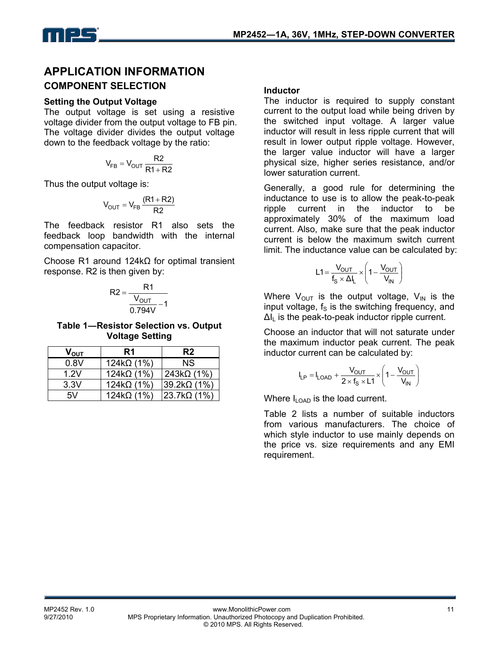## **APPLICATION INFORMATION COMPONENT SELECTION**

### **Setting the Output Voltage**

The output voltage is set using a resistive voltage divider from the output voltage to FB pin. The voltage divider divides the output voltage down to the feedback voltage by the ratio:

$$
V_{FB} = V_{OUT} \frac{R2}{R1 + R2}
$$

Thus the output voltage is:

$$
V_{OUT} = V_{FB} \frac{(R1 + R2)}{R2}
$$

The feedback resistor R1 also sets the feedback loop bandwidth with the internal compensation capacitor.

Choose R1 around 124kΩ for optimal transient response. R2 is then given by:

$$
R2 = \frac{R1}{\frac{V_{OUT}}{0.794V} - 1}
$$

**Table 1―Resistor Selection vs. Output Voltage Setting** 

| $\mathsf{V}_{\mathsf{OUT}}$ | R <sub>1</sub>     | R <sub>2</sub>      |
|-----------------------------|--------------------|---------------------|
| 0.8V                        | 124k $\Omega$ (1%) | NS.                 |
| 1.2V                        | $124k\Omega(1\%)$  | $243k\Omega(1\%)$   |
| 3.3V                        | $124k\Omega(1\%)$  | $ 39.2k\Omega(1\%)$ |
| 5V                          | 124k $\Omega$ (1%) | $ 23.7k\Omega(1\%)$ |

### **Inductor**

The inductor is required to supply constant current to the output load while being driven by the switched input voltage. A larger value inductor will result in less ripple current that will result in lower output ripple voltage. However, the larger value inductor will have a larger physical size, higher series resistance, and/or lower saturation current.

Generally, a good rule for determining the inductance to use is to allow the peak-to-peak ripple current in the inductor to be approximately 30% of the maximum load current. Also, make sure that the peak inductor current is below the maximum switch current limit. The inductance value can be calculated by:

$$
L1 = \frac{V_{OUT}}{f_S \times \Delta I_L} \times \left(1 - \frac{V_{OUT}}{V_{IN}}\right)
$$

Where  $V_{\text{OUT}}$  is the output voltage,  $V_{\text{IN}}$  is the input voltage,  $f_s$  is the switching frequency, and  $\Delta I_{\parallel}$  is the peak-to-peak inductor ripple current.

Choose an inductor that will not saturate under the maximum inductor peak current. The peak inductor current can be calculated by:

$$
I_{LP} = I_{LOAD} + \frac{V_{OUT}}{2 \times f_S \times L1} \times \left(1 - \frac{V_{OUT}}{V_{IN}}\right)
$$

Where  $I_{\text{LOAD}}$  is the load current.

Table 2 lists a number of suitable inductors from various manufacturers. The choice of which style inductor to use mainly depends on the price vs. size requirements and any EMI requirement.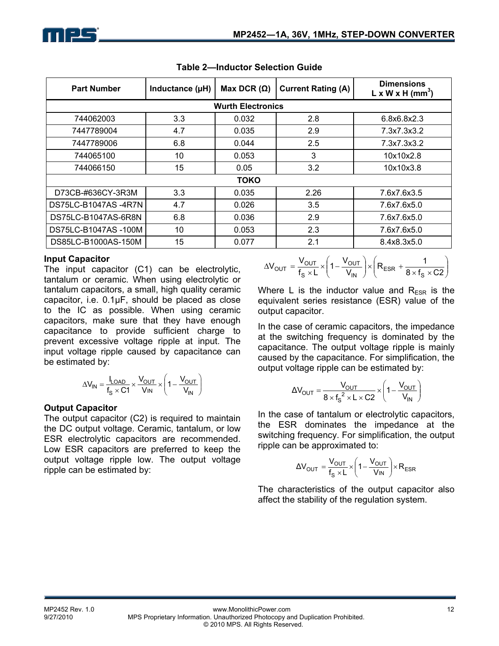| <b>Part Number</b>  | Inductance (µH) | Max DCR $(\Omega)$       | <b>Current Rating (A)</b> | <b>Dimensions</b><br>$L \times W \times H$ (mm <sup>3</sup> ) |  |  |
|---------------------|-----------------|--------------------------|---------------------------|---------------------------------------------------------------|--|--|
|                     |                 | <b>Wurth Electronics</b> |                           |                                                               |  |  |
| 744062003           | 3.3             | 0.032                    | 2.8                       | 6.8x6.8x2.3                                                   |  |  |
| 7447789004          | 4.7             | 0.035                    | 2.9                       | 7.3x7.3x3.2                                                   |  |  |
| 7447789006          | 6.8             | 0.044                    | 2.5                       | 7.3x7.3x3.2                                                   |  |  |
| 744065100           | 10              | 0.053                    | 3                         | 10x10x2.8                                                     |  |  |
| 744066150           | 15              | 0.05                     | 3.2                       | 10x10x3.8                                                     |  |  |
|                     | <b>TOKO</b>     |                          |                           |                                                               |  |  |
| D73CB-#636CY-3R3M   | 3.3             | 0.035                    | 2.26                      | 7.6x7.6x3.5                                                   |  |  |
| DS75LC-B1047AS-4R7N | 4.7             | 0.026                    | 3.5                       | 7.6x7.6x5.0                                                   |  |  |
| DS75LC-B1047AS-6R8N | 6.8             | 0.036                    | 2.9                       | 7.6x7.6x5.0                                                   |  |  |
| DS75LC-B1047AS-100M | 10              | 0.053                    | 2.3                       | 7.6x7.6x5.0                                                   |  |  |
| DS85LC-B1000AS-150M | 15              | 0.077                    | 2.1                       | 8.4x8.3x5.0                                                   |  |  |

| <b>Table 2-Inductor Selection Guide</b> |  |
|-----------------------------------------|--|
|                                         |  |

### **Input Capacitor**

The input capacitor (C1) can be electrolytic, tantalum or ceramic. When using electrolytic or tantalum capacitors, a small, high quality ceramic capacitor, i.e. 0.1µF, should be placed as close to the IC as possible. When using ceramic capacitors, make sure that they have enough capacitance to provide sufficient charge to prevent excessive voltage ripple at input. The input voltage ripple caused by capacitance can be estimated by:

$$
\Delta V_{IN} = \frac{I_{LOAD}}{f_S \times C1} \times \frac{V_{OUT}}{V_{IN}} \times \left(1 - \frac{V_{OUT}}{V_{IN}}\right)
$$

### **Output Capacitor**

The output capacitor (C2) is required to maintain the DC output voltage. Ceramic, tantalum, or low ESR electrolytic capacitors are recommended. Low ESR capacitors are preferred to keep the output voltage ripple low. The output voltage ripple can be estimated by:

$$
\Delta V_{\text{OUT}} = \frac{V_{\text{OUT}}}{f_{\text{S}} \times L} \times \left(1 - \frac{V_{\text{OUT}}}{V_{\text{IN}}}\right) \times \left(R_{\text{ESR}} + \frac{1}{8 \times f_{\text{S}} \times C2}\right)
$$

Where L is the inductor value and  $R_{ESR}$  is the equivalent series resistance (ESR) value of the output capacitor.

In the case of ceramic capacitors, the impedance at the switching frequency is dominated by the capacitance. The output voltage ripple is mainly caused by the capacitance. For simplification, the output voltage ripple can be estimated by:

$$
\Delta V_{\text{OUT}} = \frac{V_{\text{OUT}}}{8 \times f_{\text{S}}^2 \times L \times C2} \times \left(1 - \frac{V_{\text{OUT}}}{V_{\text{IN}}}\right)
$$

In the case of tantalum or electrolytic capacitors, the ESR dominates the impedance at the switching frequency. For simplification, the output ripple can be approximated to:

$$
\Delta V_{\text{OUT}} = \frac{V_{\text{OUT}}}{f_{\text{S}} \times L} \times \left(1 - \frac{V_{\text{OUT}}}{V_{\text{IN}}}\right) \times R_{\text{ESR}}
$$

The characteristics of the output capacitor also affect the stability of the regulation system.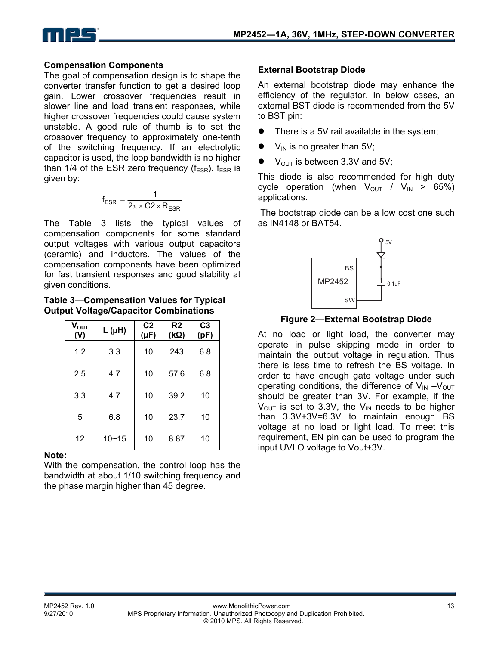![](_page_12_Picture_0.jpeg)

### **Compensation Components**

The goal of compensation design is to shape the converter transfer function to get a desired loop gain. Lower crossover frequencies result in slower line and load transient responses, while higher crossover frequencies could cause system unstable. A good rule of thumb is to set the crossover frequency to approximately one-tenth of the switching frequency. If an electrolytic capacitor is used, the loop bandwidth is no higher than 1/4 of the ESR zero frequency ( $f_{FSR}$ ).  $f_{FSR}$  is given by:

$$
f_{ESR} = \frac{1}{2\pi \times C2 \times R_{ESR}}
$$

The Table 3 lists the typical values of compensation components for some standard output voltages with various output capacitors (ceramic) and inductors. The values of the compensation components have been optimized for fast transient responses and good stability at given conditions.

#### **Table 3—Compensation Values for Typical Output Voltage/Capacitor Combinations**

| $V_{OUT}$<br>(V) | $L(\mu H)$ | C <sub>2</sub><br>$(\mu F)$ | R <sub>2</sub><br>$(k\Omega)$ | C <sub>3</sub><br>(pF) |
|------------------|------------|-----------------------------|-------------------------------|------------------------|
| 1.2              | 3.3        | 10                          | 243                           | 6.8                    |
| 2.5              | 4.7        | 10                          | 57.6                          | 6.8                    |
| 3.3              | 4.7        | 10                          | 39.2                          | 10                     |
| 5                | 6.8        | 10                          | 23.7                          | 10                     |
| 12               | $10 - 15$  | 10                          | 8.87                          | 10                     |

#### **Note:**

With the compensation, the control loop has the bandwidth at about 1/10 switching frequency and the phase margin higher than 45 degree.

### **External Bootstrap Diode**

An external bootstrap diode may enhance the efficiency of the regulator. In below cases, an external BST diode is recommended from the 5V to BST pin:

- There is a 5V rail available in the system;
- $V_{IN}$  is no greater than 5V;
- $\bullet$  V<sub>OUT</sub> is between 3.3V and 5V:

This diode is also recommended for high duty cycle operation (when  $V_{\text{OUT}}$  /  $V_{\text{IN}} > 65\%)$ applications.

 The bootstrap diode can be a low cost one such as IN4148 or BAT54.

![](_page_12_Figure_17.jpeg)

### **Figure 2—External Bootstrap Diode**

At no load or light load, the converter may operate in pulse skipping mode in order to maintain the output voltage in regulation. Thus there is less time to refresh the BS voltage. In order to have enough gate voltage under such operating conditions, the difference of  $V_{IN} - V_{OUT}$ should be greater than 3V. For example, if the  $V_{\text{OUT}}$  is set to 3.3V, the V<sub>IN</sub> needs to be higher than 3.3V+3V=6.3V to maintain enough BS voltage at no load or light load. To meet this requirement, EN pin can be used to program the input UVLO voltage to Vout+3V.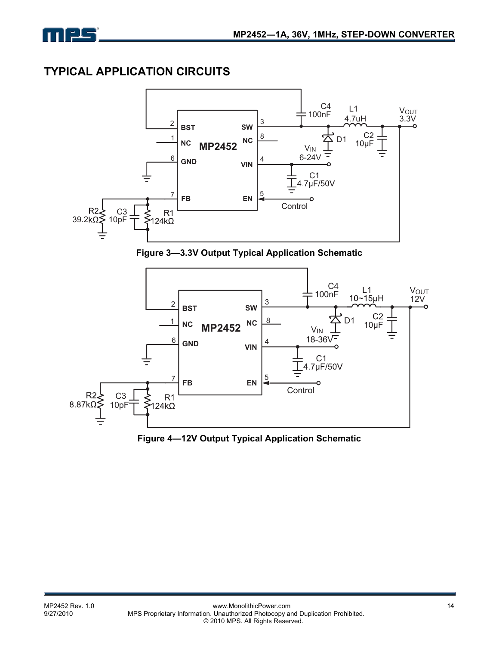![](_page_13_Picture_0.jpeg)

## **TYPICAL APPLICATION CIRCUITS**

![](_page_13_Figure_3.jpeg)

**Figure 3—3.3V Output Typical Application Schematic** 

![](_page_13_Figure_5.jpeg)

**Figure 4—12V Output Typical Application Schematic**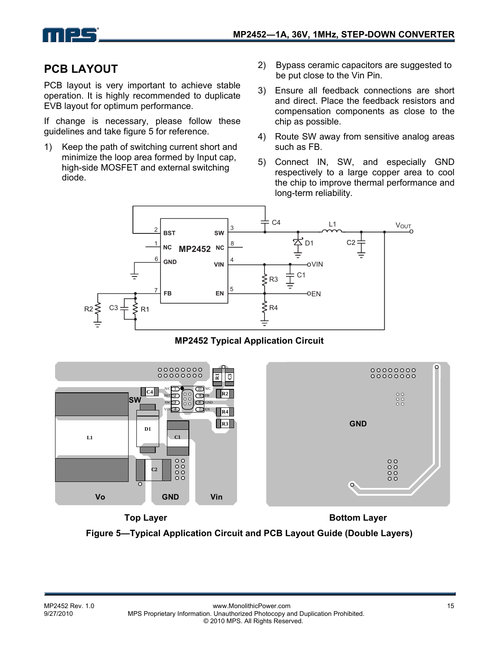![](_page_14_Picture_0.jpeg)

## **PCB LAYOUT**

PCB layout is very important to achieve stable operation. It is highly recommended to duplicate EVB layout for optimum performance.

If change is necessary, please follow these guidelines and take figure 5 for reference.

- 1) Keep the path of switching current short and minimize the loop area formed by Input cap, high-side MOSFET and external switching diode.
- 2) Bypass ceramic capacitors are suggested to be put close to the Vin Pin.
- 3) Ensure all feedback connections are short and direct. Place the feedback resistors and compensation components as close to the chip as possible.
- 4) Route SW away from sensitive analog areas such as FB.
- 5) Connect IN, SW, and especially GND respectively to a large copper area to cool the chip to improve thermal performance and long-term reliability.

![](_page_14_Figure_10.jpeg)

**MP2452 Typical Application Circuit** 

![](_page_14_Figure_12.jpeg)

**Top Layer Bottom Layer Figure 5—Typical Application Circuit and PCB Layout Guide (Double Layers)**